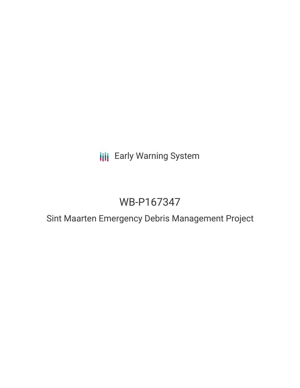**III** Early Warning System

# WB-P167347

Sint Maarten Emergency Debris Management Project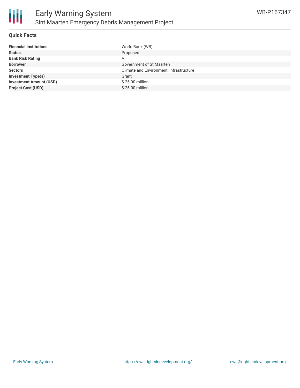#### **Quick Facts**

| <b>Financial Institutions</b>  | World Bank (WB)                         |
|--------------------------------|-----------------------------------------|
| <b>Status</b>                  | Proposed                                |
| <b>Bank Risk Rating</b>        | A                                       |
| <b>Borrower</b>                | Government of St Maarten                |
| <b>Sectors</b>                 | Climate and Environment, Infrastructure |
| <b>Investment Type(s)</b>      | Grant                                   |
| <b>Investment Amount (USD)</b> | \$25.00 million                         |
| <b>Project Cost (USD)</b>      | \$25.00 million                         |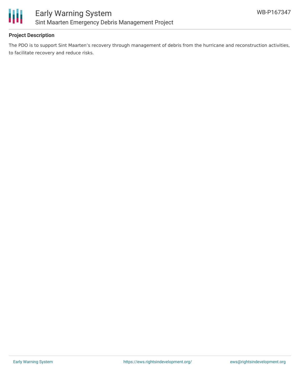

## **Project Description**

The PDO is to support Sint Maarten's recovery through management of debris from the hurricane and reconstruction activities, to facilitate recovery and reduce risks.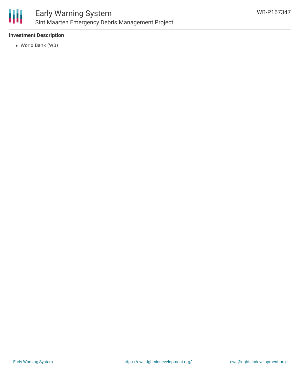

## **Investment Description**

World Bank (WB)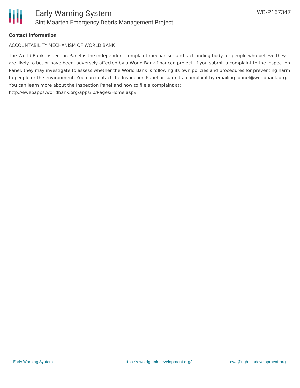

#### **Contact Information**

ACCOUNTABILITY MECHANISM OF WORLD BANK

The World Bank Inspection Panel is the independent complaint mechanism and fact-finding body for people who believe they are likely to be, or have been, adversely affected by a World Bank-financed project. If you submit a complaint to the Inspection Panel, they may investigate to assess whether the World Bank is following its own policies and procedures for preventing harm to people or the environment. You can contact the Inspection Panel or submit a complaint by emailing ipanel@worldbank.org. You can learn more about the Inspection Panel and how to file a complaint at: http://ewebapps.worldbank.org/apps/ip/Pages/Home.aspx.